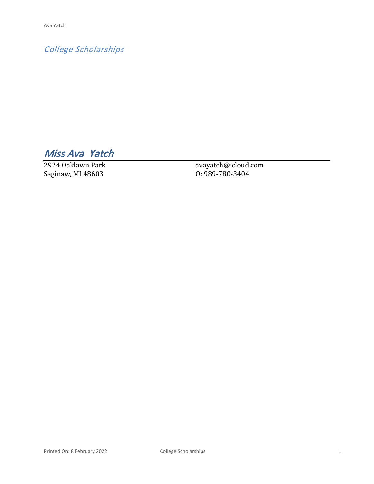*College Scholarships*

*Miss Ava Yatch* 

2924 Oaklawn Park Saginaw, MI 48603

avayatch@icloud.com O: 989-780-3404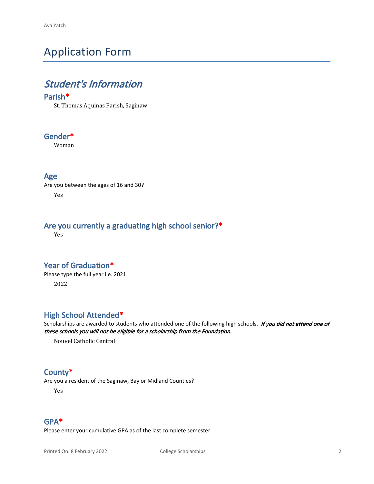# Application Form

# *Student's Information*

#### **Parish\***

St. Thomas Aquinas Parish, Saginaw

#### **Gender\***

Woman

#### **Age**

Are you between the ages of 16 and 30? Yes

### **Are you currently a graduating high school senior?\***

Yes

#### **Year of Graduation\***

Please type the full year i.e. 2021. 2022

#### **High School Attended\***

Scholarships are awarded to students who attended one of the following high schools. *If you did not attend one of these schools you will not be eligible for a scholarship from the Foundation.*

Nouvel Catholic Central

#### **County\***

Are you a resident of the Saginaw, Bay or Midland Counties?

Yes

#### **GPA\***

Please enter your cumulative GPA as of the last complete semester.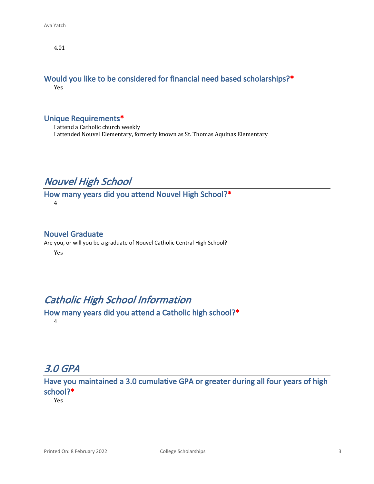4.01

#### **Would you like to be considered for financial need based scholarships?\*** Yes

#### **Unique Requirements\***

I attend a Catholic church weekly I attended Nouvel Elementary, formerly known as St. Thomas Aquinas Elementary

## *Nouvel High School*

**How many years did you attend Nouvel High School?\*** 4

#### **Nouvel Graduate**

Are you, or will you be a graduate of Nouvel Catholic Central High School?

Yes

### *Catholic High School Information*

**How many years did you attend a Catholic high school?\*** 4

## *3.0 GPA*

**Have you maintained a 3.0 cumulative GPA or greater during all four years of high school?\***

Yes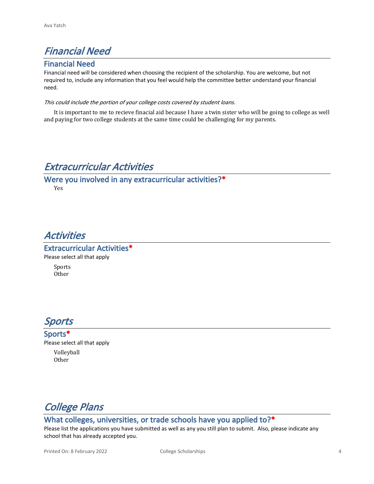# *Financial Need*

#### **Financial Need**

Financial need will be considered when choosing the recipient of the scholarship. You are welcome, but not required to, include any information that you feel would help the committee better understand your financial need.

#### *This could include the portion of your college costs covered by student loans.*

It is important to me to recieve finacial aid because I have a twin sister who will be going to college as well and paying for two college students at the same time could be challenging for my parents.

# *Extracurricular Activities*

## **Were you involved in any extracurricular activities?\***

Yes

# *Activities*

**Extracurricular Activities\*** Please select all that apply Sports

Other

## *Sports*

**Sports\*** Please select all that apply Volleyball Other



#### **What colleges, universities, or trade schools have you applied to?\***

Please list the applications you have submitted as well as any you still plan to submit. Also, please indicate any school that has already accepted you.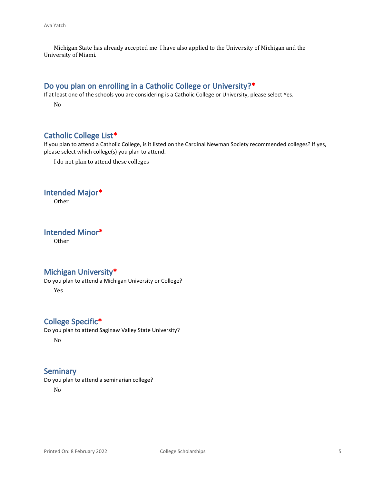Michigan State has already accepted me. I have also applied to the University of Michigan and the University of Miami.

### **Do you plan on enrolling in a Catholic College or University?\***

If at least one of the schools you are considering is a Catholic College or University, please select Yes.

No

### **Catholic College List\***

If you plan to attend a Catholic College, is it listed on the Cardinal Newman Society recommended colleges? If yes, please select which college(s) you plan to attend.

I do not plan to attend these colleges

#### **Intended Major\***

Other

**Intended Minor\***

Other

#### **Michigan University\***

Do you plan to attend a Michigan University or College?

Yes

#### **College Specific\***

Do you plan to attend Saginaw Valley State University? No

#### **Seminary**

Do you plan to attend a seminarian college?

No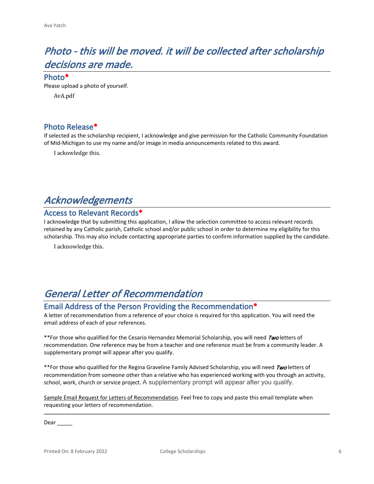# *Photo - this will be moved. it will be collected after scholarship decisions are made.*

**Photo\***

Please upload a photo of yourself.

AvA.pdf

#### **Photo Release\***

If selected as the scholarship recipient, I acknowledge and give permission for the Catholic Community Foundation of Mid-Michigan to use my name and/or image in media announcements related to this award.

I ackowledge this.

## *Acknowledgements*

#### **Access to Relevant Records\***

I acknowledge that by submitting this application, I allow the selection committee to access relevant records retained by any Catholic parish, Catholic school and/or public school in order to determine my eligibility for this scholarship. This may also include contacting appropriate parties to confirm information supplied by the candidate.

I acknowledge this.

# *General Letter of Recommendation*

#### **Email Address of the Person Providing the Recommendation\***

A letter of recommendation from a reference of your choice is required for this application. You will need the email address of each of your references.

\*\*For those who qualified for the Cesario Hernandez Memorial Scholarship, you will need *Two* letters of recommendation. One reference may be from a teacher and one reference must be from a community leader. A supplementary prompt will appear after you qualify.

\*\*For those who qualified for the Regina Graveline Family Advised Scholarship, you will need *Two* letters of recommendation from someone other than a relative who has experienced working with you through an activity, school, work, church or service project. A supplementary prompt will appear after you qualify.

Sample Email Request for Letters of Recommendation. Feel free to copy and paste this email template when requesting your letters of recommendation.

Dear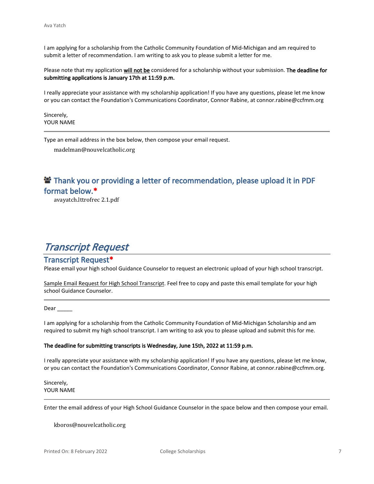I am applying for a scholarship from the Catholic Community Foundation of Mid-Michigan and am required to submit a letter of recommendation. I am writing to ask you to please submit a letter for me.

Please note that my application **will not be** considered for a scholarship without your submission. **The deadline for submitting applications is January 17th at 11:59 p.m.**

I really appreciate your assistance with my scholarship application! If you have any questions, please let me know or you can contact the Foundation's Communications Coordinator, Connor Rabine, at connor.rabine@ccfmm.org

Sincerely, YOUR NAME

Type an email address in the box below, then compose your email request.

madelman@nouvelcatholic.org

### **<sup>2</sup> Thank you or providing a letter of recommendation, please upload it in PDF format below.\***

avayatch.lttrofrec 2.1.pdf

# *Transcript Request*

#### **Transcript Request\***

Please email your high school Guidance Counselor to request an electronic upload of your high school transcript.

Sample Email Request for High School Transcript. Feel free to copy and paste this email template for your high school Guidance Counselor.

Dear

I am applying for a scholarship from the Catholic Community Foundation of Mid-Michigan Scholarship and am required to submit my high school transcript. I am writing to ask you to please upload and submit this for me.

#### **The deadline for submitting transcripts is Wednesday, June 15th, 2022 at 11:59 p.m.**

I really appreciate your assistance with my scholarship application! If you have any questions, please let me know, or you can contact the Foundation's Communications Coordinator, Connor Rabine, at connor.rabine@ccfmm.org.

Sincerely, YOUR NAME

Enter the email address of your High School Guidance Counselor in the space below and then compose your email.

kboros@nouvelcatholic.org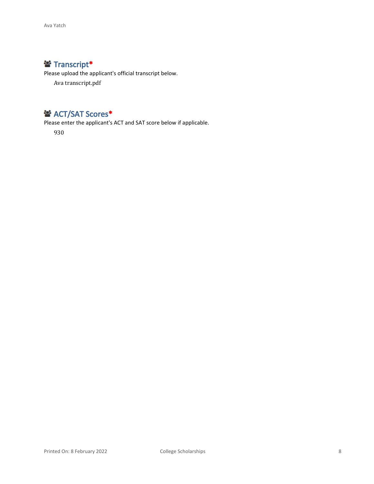### **Transcript\***

Please upload the applicant's official transcript below.

Ava transcript.pdf

### **<sup>2</sup>** ACT/SAT Scores<sup>\*</sup>

Please enter the applicant's ACT and SAT score below if applicable.

930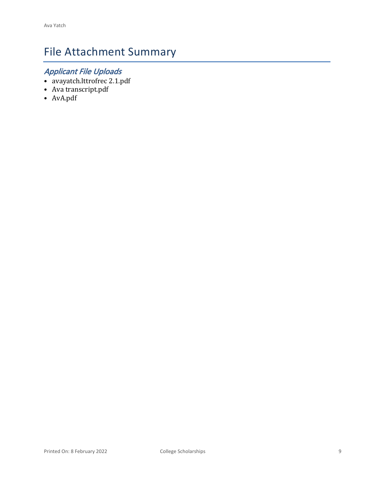# File Attachment Summary

# *Applicant File Uploads*

- avayatch.lttrofrec 2.1.pdf
- Ava transcript.pdf
- AvA.pdf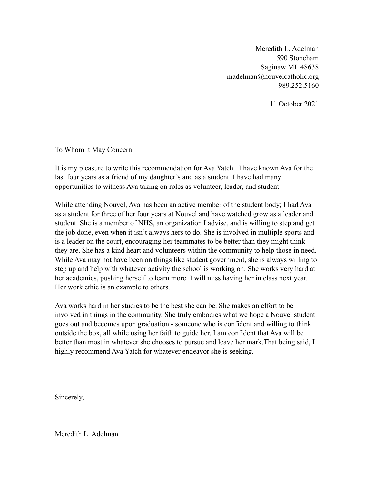Meredith L. Adelman 590 Stoneham Saginaw MI 48638 madelman@nouvelcatholic.org 989.252.5160

11 October 2021

To Whom it May Concern:

It is my pleasure to write this recommendation for Ava Yatch. I have known Ava for the last four years as a friend of my daughter's and as a student. I have had many opportunities to witness Ava taking on roles as volunteer, leader, and student.

While attending Nouvel, Ava has been an active member of the student body; I had Ava as a student for three of her four years at Nouvel and have watched grow as a leader and student. She is a member of NHS, an organization I advise, and is willing to step and get the job done, even when it isn't always hers to do. She is involved in multiple sports and is a leader on the court, encouraging her teammates to be better than they might think they are. She has a kind heart and volunteers within the community to help those in need. While Ava may not have been on things like student government, she is always willing to step up and help with whatever activity the school is working on. She works very hard at her academics, pushing herself to learn more. I will miss having her in class next year. Her work ethic is an example to others.

Ava works hard in her studies to be the best she can be. She makes an effort to be involved in things in the community. She truly embodies what we hope a Nouvel student goes out and becomes upon graduation - someone who is confident and willing to think outside the box, all while using her faith to guide her. I am confident that Ava will be better than most in whatever she chooses to pursue and leave her mark.That being said, I highly recommend Ava Yatch for whatever endeavor she is seeking.

Sincerely,

Meredith L. Adelman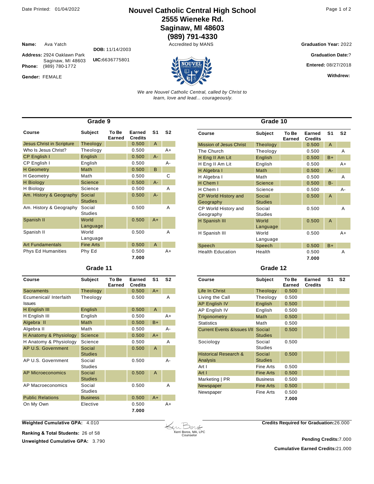**Name:** Ava Yatch

Gender: FEMALE

**Phone:** (989) 780-1772

### Date Printed: 01/04/2022 **Nouvel Catholic Central High School** Page 1 of 2 **2555 Wieneke Rd. Saginaw, MI 48603**

**(989) 791-4330**

**Graduation Year: 2022** 

**Graduation Date:**?

**Entered:** 08/27/2018

**Withdrew:** 

*We are Nouvel Catholic Central, called by Christ to learn, love and lead... courageously.*

| Grade 9                          |                          |                 |                          |       |                |  |
|----------------------------------|--------------------------|-----------------|--------------------------|-------|----------------|--|
| Course                           | Subject                  | To Be<br>Earned | Earned<br><b>Credits</b> | S1    | S <sub>2</sub> |  |
| <b>Jesus Christ in Scripture</b> | Theology                 |                 | 0.500                    | A     |                |  |
| Who Is Jesus Christ?             | Theology                 |                 | 0.500                    |       | A+             |  |
| CP English I                     | English                  |                 | 0.500                    | $A -$ |                |  |
| CP English I                     | English                  |                 | 0.500                    |       | A-             |  |
| <b>H</b> Geometry                | <b>Math</b>              |                 | 0.500                    | B     |                |  |
| <b>H</b> Geometry                | Math                     |                 | 0.500                    |       | С              |  |
| <b>H</b> Biology                 | <b>Science</b>           |                 | 0.500                    | $A -$ |                |  |
| H Biology                        | Science                  |                 | 0.500                    |       | Α              |  |
| Am. History & Geography          | Social<br><b>Studies</b> |                 | 0.500                    | $A -$ |                |  |
| Am. History & Geography          | Social<br><b>Studies</b> |                 | 0.500                    |       | A              |  |
| Spanish II                       | World<br>Language        |                 | 0.500                    | $A+$  |                |  |
| Spanish II                       | World<br>Language        |                 | 0.500                    |       | A              |  |
| <b>Art Fundamentals</b>          | <b>Fine Arts</b>         |                 | 0.500                    | A     |                |  |
| <b>Phys Ed Humanities</b>        | Phy Ed                   |                 | 0.500<br>7.000           |       | A+             |  |

#### **Grade 11**

| Course                                  | Subject                  | To Be<br>Earned | Earned<br><b>Credits</b> | S <sub>1</sub> | S <sub>2</sub> |
|-----------------------------------------|--------------------------|-----------------|--------------------------|----------------|----------------|
| Sacraments                              | Theology                 |                 | 0.500                    | $A+$           |                |
| Ecumenical/ Interfaith<br><b>Issues</b> | Theology                 |                 | 0.500                    |                | Α              |
| H English III                           | English                  |                 | 0.500                    | $\overline{A}$ |                |
| H English III                           | English                  |                 | 0.500                    |                | $A+$           |
| Algebra II                              | <b>Math</b>              |                 | 0.500                    | $B+$           |                |
| Algebra II                              | Math                     |                 | 0.500                    |                | $A -$          |
| H Anatomy & Physiology                  | <b>Science</b>           |                 | 0.500                    | $A+$           |                |
| H Anatomy & Physiology                  | Science                  |                 | 0.500                    |                | Α              |
| AP U.S. Government                      | Social<br><b>Studies</b> |                 | 0.500                    | A              |                |
| AP U.S. Government                      | Social<br><b>Studies</b> |                 | 0.500                    |                | А-             |
| <b>AP Microeconomics</b>                | Social<br><b>Studies</b> |                 | 0.500                    | $\mathsf{A}$   |                |
| AP Macroeconomics                       | Social<br><b>Studies</b> |                 | 0.500                    |                | Α              |
| <b>Public Relations</b>                 | <b>Business</b>          |                 | 0.500                    | $A+$           |                |
| On My Own                               | Elective                 |                 | 0.500<br>7.000           |                | $A+$           |

| Grade 10                                 |                          |                 |                          |                |                |
|------------------------------------------|--------------------------|-----------------|--------------------------|----------------|----------------|
| Course                                   | <b>Subject</b>           | To Be<br>Earned | Earned<br><b>Credits</b> | S <sub>1</sub> | S <sub>2</sub> |
| <b>Mission of Jesus Christ</b>           | Theology                 |                 | 0.500                    | A              |                |
| The Church                               | Theology                 |                 | 0.500                    |                | A              |
| H Eng II Am Lit                          | English                  |                 | 0.500                    | $B+$           |                |
| H Eng II Am Lit                          | English                  |                 | 0.500                    |                | A+             |
| H Algebra I                              | Math                     |                 | 0.500                    | $A -$          |                |
| H Algebra I                              | Math                     |                 | 0.500                    |                | A              |
| H Chem I                                 | <b>Science</b>           |                 | 0.500                    | $B -$          |                |
| H Chem I                                 | Science                  |                 | 0.500                    |                | А-             |
| <b>CP World History and</b><br>Geography | Social<br><b>Studies</b> |                 | 0.500                    | $\mathsf{A}$   |                |
| CP World History and<br>Geography        | Social<br><b>Studies</b> |                 | 0.500                    |                | A              |
| H Spanish III                            | World<br>Language        |                 | 0.500                    | $\mathsf{A}$   |                |
| H Spanish III                            | World<br>Language        |                 | 0.500                    |                | $A+$           |
| Speech                                   | Speech                   |                 | 0.500                    | $B+$           |                |
| <b>Health Education</b>                  | Health                   |                 | 0.500<br>7.000           |                | A              |

#### **Grade 12**

| Course                                       | <b>Subject</b>           | To Be<br>Earned | Earned<br><b>Credits</b> | S <sub>1</sub> | S <sub>2</sub> |
|----------------------------------------------|--------------------------|-----------------|--------------------------|----------------|----------------|
| Life In Christ                               | Theology                 | 0.500           |                          |                |                |
| Living the Call                              | Theology                 | 0.500           |                          |                |                |
| <b>AP English IV</b>                         | English                  | 0.500           |                          |                |                |
| AP English IV                                | English                  | 0.500           |                          |                |                |
| Trigonometry                                 | Math                     | 0.500           |                          |                |                |
| <b>Statistics</b>                            | Math                     | 0.500           |                          |                |                |
| <b>Current Events &amp; Supers I/II</b>      | Social<br><b>Studies</b> | 0.500           |                          |                |                |
| Sociology                                    | Social<br><b>Studies</b> | 0.500           |                          |                |                |
| <b>Historical Research &amp;</b><br>Analysis | Social<br><b>Studies</b> | 0.500           |                          |                |                |
| Art I                                        | Fine Arts                | 0.500           |                          |                |                |
| Art I                                        | <b>Fine Arts</b>         | 0.500           |                          |                |                |
| Marketing   PR                               | <b>Business</b>          | 0.500           |                          |                |                |
| Newspaper                                    | <b>Fine Arts</b>         | 0.500           |                          |                |                |
| Newspaper                                    | Fine Arts                | 0.500           |                          |                |                |
|                                              |                          | 7.000           |                          |                |                |

**Weighted Cumulative GPA:** 4.010

**Ranking & Total Students:** 26 of 58

**Unweighted Cumulative GPA: 3.790** 



**Credits Required for Graduation:**26.000

**Cumulative Earned Credits:**21.000 **Pending Credits:**7.000

**Address:** 2924 Oaklawn Park Saginaw, MI 48603 **DOB:** 11/14/2003 **UIC:**6636775801



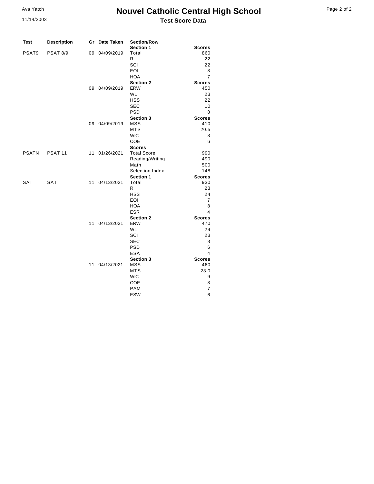#### 11/14/2003

### **Nouvel Catholic Central High School Test Score Data**

| Page 2 of 2 |  |  |  |
|-------------|--|--|--|
|-------------|--|--|--|

| Test         | <b>Description</b> |    | Gr Date Taken | <b>Section/Row</b><br>Section 1 | <b>Scores</b>        |
|--------------|--------------------|----|---------------|---------------------------------|----------------------|
| PSAT9        | <b>PSAT 8/9</b>    |    | 09 04/09/2019 | Total                           | 860                  |
|              |                    |    |               | R                               | 22                   |
|              |                    |    |               | SCI                             | 22                   |
|              |                    |    |               | EOI                             | 8                    |
|              |                    |    |               | <b>HOA</b>                      | $\overline{7}$       |
|              |                    |    |               | <b>Section 2</b>                | <b>Scores</b>        |
|              |                    |    | 09 04/09/2019 | <b>ERW</b>                      | 450                  |
|              |                    |    |               | <b>WL</b>                       | 23                   |
|              |                    |    |               | <b>HSS</b>                      | 22                   |
|              |                    |    |               | <b>SEC</b>                      | 10                   |
|              |                    |    |               | <b>PSD</b>                      | 8                    |
|              |                    |    |               | Section 3                       | <b>Scores</b>        |
|              |                    |    | 09 04/09/2019 | <b>MSS</b>                      | 410                  |
|              |                    |    |               | <b>MTS</b><br><b>WIC</b>        | 20.5<br>8            |
|              |                    |    |               | COE                             | 6                    |
|              |                    |    |               | <b>Scores</b>                   |                      |
| <b>PSATN</b> | PSAT <sub>11</sub> |    | 11 01/26/2021 | <b>Total Score</b>              | 990                  |
|              |                    |    |               | Reading/Writing                 | 490                  |
|              |                    |    |               | Math                            | 500                  |
|              |                    |    |               | Selection Index                 | 148                  |
|              |                    |    |               | <b>Section 1</b>                | <b>Scores</b>        |
| <b>SAT</b>   | <b>SAT</b>         |    | 11 04/13/2021 | Total                           | 930                  |
|              |                    |    |               | R                               | 23                   |
|              |                    |    |               | <b>HSS</b>                      | 24                   |
|              |                    |    |               | EOI                             | $\overline{7}$       |
|              |                    |    |               | HOA                             | 8                    |
|              |                    |    |               | <b>ESR</b>                      | 4                    |
|              |                    |    |               | Section 2                       | <b>Scores</b>        |
|              |                    | 11 | 04/13/2021    | <b>ERW</b>                      | 470                  |
|              |                    |    |               | <b>WL</b>                       | 24                   |
|              |                    |    |               | SCI                             | 23                   |
|              |                    |    |               | <b>SEC</b>                      | 8                    |
|              |                    |    |               | <b>PSD</b><br><b>ESA</b>        | 6                    |
|              |                    |    |               |                                 | 4                    |
|              |                    | 11 | 04/13/2021    | Section 3<br><b>MSS</b>         | <b>Scores</b><br>460 |
|              |                    |    |               | <b>MTS</b>                      | 23.0                 |
|              |                    |    |               | <b>WIC</b>                      | 9                    |
|              |                    |    |               | COE                             | 8                    |
|              |                    |    |               | <b>PAM</b>                      | 7                    |
|              |                    |    |               | <b>ESW</b>                      | 6                    |